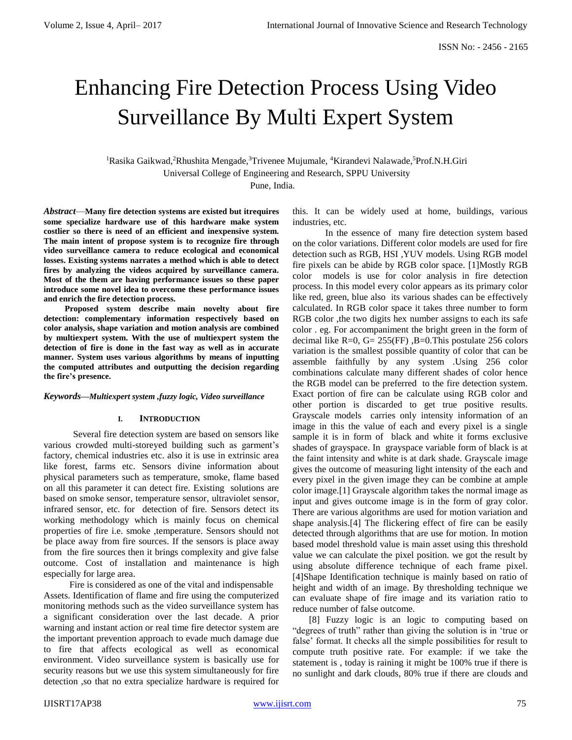# Enhancing Fire Detection Process Using Video Surveillance By Multi Expert System

<sup>1</sup>Rasika Gaikwad,<sup>2</sup>Rhushita Mengade,<sup>3</sup>Trivenee Mujumale, <sup>4</sup>Kirandevi Nalawade,<sup>5</sup>Prof.N.H.Giri Universal College of Engineering and Research, SPPU University Pune, India.

*Abstract*—**Many fire detection systems are existed but itrequires some specialize hardware use of this hardware make system costlier so there is need of an efficient and inexpensive system. The main intent of propose system is to recognize fire through video surveillance camera to reduce ecological and economical losses. Existing systems narrates a method which is able to detect fires by analyzing the videos acquired by surveillance camera. Most of the them are having performance issues so these paper introduce some novel idea to overcome these performance issues and enrich the fire detection process.**

 **Proposed system describe main novelty about fire detection: complementary information respectively based on color analysis, shape variation and motion analysis are combined by multiexpert system. With the use of multiexpert system the detection of fire is done in the fast way as well as in accurate manner. System uses various algorithms by means of inputting the computed attributes and outputting the decision regarding the fire's presence.** 

#### *Keywords—Multiexpert system ,fuzzy logic, Video surveillance*

#### **I. INTRODUCTION**

Several fire detection system are based on sensors like various crowded multi-storeyed building such as garment's factory, chemical industries etc. also it is use in extrinsic area like forest, farms etc. Sensors divine information about physical parameters such as temperature, smoke, flame based on all this parameter it can detect fire. Existing solutions are based on smoke sensor, temperature sensor, ultraviolet sensor, infrared sensor, etc. for detection of fire. Sensors detect its working methodology which is mainly focus on chemical properties of fire i.e. smoke ,temperature. Sensors should not be place away from fire sources. If the sensors is place away from the fire sources then it brings complexity and give false outcome. Cost of installation and maintenance is high especially for large area.

 Fire is considered as one of the vital and indispensable Assets. Identification of flame and fire using the computerized monitoring methods such as the video surveillance system has a significant consideration over the last decade. A prior warning and instant action or real time fire detector system are the important prevention approach to evade much damage due to fire that affects ecological as well as economical environment. Video surveillance system is basically use for security reasons but we use this system simultaneously for fire detection ,so that no extra specialize hardware is required for

this. It can be widely used at home, buildings, various industries, etc.

 In the essence of many fire detection system based on the color variations. Different color models are used for fire detection such as RGB, HSI ,YUV models. Using RGB model fire pixels can be abide by RGB color space. [1]Mostly RGB color models is use for color analysis in fire detection process. In this model every color appears as its primary color like red, green, blue also its various shades can be effectively calculated. In RGB color space it takes three number to form RGB color ,the two digits hex number assigns to each its safe color . eg. For accompaniment the bright green in the form of decimal like  $R=0$ ,  $G= 255$  (FF),  $B=0$ . This postulate 256 colors variation is the smallest possible quantity of color that can be assemble faithfully by any system .Using 256 color combinations calculate many different shades of color hence the RGB model can be preferred to the fire detection system. Exact portion of fire can be calculate using RGB color and other portion is discarded to get true positive results. Grayscale models carries only intensity information of an image in this the value of each and every pixel is a single sample it is in form of black and white it forms exclusive shades of grayspace. In grayspace variable form of black is at the faint intensity and white is at dark shade. Grayscale image gives the outcome of measuring light intensity of the each and every pixel in the given image they can be combine at ample color image.[1] Grayscale algorithm takes the normal image as input and gives outcome image is in the form of gray color. There are various algorithms are used for motion variation and shape analysis.[4] The flickering effect of fire can be easily detected through algorithms that are use for motion. In motion based model threshold value is main asset using this threshold value we can calculate the pixel position. we got the result by using absolute difference technique of each frame pixel. [4]Shape Identification technique is mainly based on ratio of height and width of an image. By thresholding technique we can evaluate shape of fire image and its variation ratio to reduce number of false outcome.

 [8] Fuzzy logic is an logic to computing based on "degrees of truth" rather than giving the solution is in 'true or false' format. It checks all the simple possibilities for result to compute truth positive rate. For example: if we take the statement is , today is raining it might be 100% true if there is no sunlight and dark clouds, 80% true if there are clouds and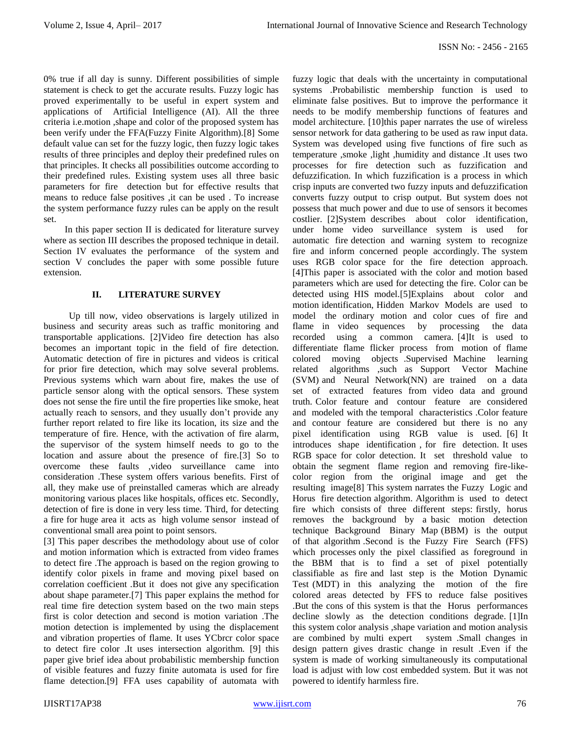0% true if all day is sunny. Different possibilities of simple statement is check to get the accurate results. Fuzzy logic has proved experimentally to be useful in expert system and applications of Artificial Intelligence (AI). All the three criteria i.e.motion ,shape and color of the proposed system has been verify under the FFA(Fuzzy Finite Algorithm).[8] Some default value can set for the fuzzy logic, then fuzzy logic takes results of three principles and deploy their predefined rules on that principles. It checks all possibilities outcome according to their predefined rules. Existing system uses all three basic parameters for fire detection but for effective results that means to reduce false positives ,it can be used . To increase the system performance fuzzy rules can be apply on the result set.

 In this paper section II is dedicated for literature survey where as section III describes the proposed technique in detail. Section IV evaluates the performance of the system and section V concludes the paper with some possible future extension.

## **II. LITERATURE SURVEY**

Up till now, video observations is largely utilized in business and security areas such as traffic monitoring and transportable applications. [2]Video fire detection has also becomes an important topic in the field of fire detection. Automatic detection of fire in pictures and videos is critical for prior fire detection, which may solve several problems. Previous systems which warn about fire, makes the use of particle sensor along with the optical sensors. These system does not sense the fire until the fire properties like smoke, heat actually reach to sensors, and they usually don't provide any further report related to fire like its location, its size and the temperature of fire. Hence, with the activation of fire alarm, the supervisor of the system himself needs to go to the location and assure about the presence of fire.[3] So to overcome these faults ,video surveillance came into consideration .These system offers various benefits. First of all, they make use of preinstalled cameras which are already monitoring various places like hospitals, offices etc. Secondly, detection of fire is done in very less time. Third, for detecting a fire for huge area it acts as high volume sensor instead of conventional small area point to point sensors.

[3] This paper describes the methodology about use of color and motion information which is extracted from video frames to detect fire .The approach is based on the region growing to identify color pixels in frame and moving pixel based on correlation coefficient .But it does not give any specification about shape parameter.[7] This paper explains the method for real time fire detection system based on the two main steps first is color detection and second is motion variation .The motion detection is implemented by using the displacement and vibration properties of flame. It uses YCbrcr color space to detect fire color .It uses intersection algorithm. [9] this paper give brief idea about probabilistic membership function of visible features and fuzzy finite automata is used for fire flame detection.[9] FFA uses capability of automata with

fuzzy logic that deals with the uncertainty in computational systems .Probabilistic membership function is used to eliminate false positives. But to improve the performance it needs to be modify membership functions of features and model architecture. [10]this paper narrates the use of wireless sensor network for data gathering to be used as raw input data. System was developed using five functions of fire such as temperature ,smoke ,light ,humidity and distance .It uses two processes for fire detection such as fuzzification and defuzzification. In which fuzzification is a process in which crisp inputs are converted two fuzzy inputs and defuzzification converts fuzzy output to crisp output. But system does not possess that much power and due to use of sensors it becomes costlier. [2]System describes about color identification, under home video surveillance system is used for automatic fire detection and warning system to recognize fire and inform concerned people accordingly. The system uses RGB color space for the fire detection approach. [4]This paper is associated with the color and motion based parameters which are used for detecting the fire. Color can be detected using HIS model.[5]Explains about color and motion identification, Hidden Markov Models are used to model the ordinary motion and color cues of fire and flame in video sequences by processing the data recorded using a common camera. [4]It is used to differentiate flame flicker process from motion of flame colored moving objects .Supervised Machine learning related algorithms ,such as Support Vector Machine (SVM) and Neural Network(NN) are trained on a data set of extracted features from video data and ground truth. Color feature and contour feature are considered and modeled with the temporal characteristics .Color feature and contour feature are considered but there is no any pixel identification using RGB value is used. [6] It introduces shape identification , for fire detection. It uses RGB space for color detection. It set threshold value to obtain the segment flame region and removing fire-likecolor region from the original image and get the resulting image[8] This system narrates the Fuzzy Logic and Horus fire detection algorithm. Algorithm is used to detect fire which consists of three different steps: firstly, horus removes the background by a basic motion detection technique Background Binary Map (BBM) is the output of that algorithm .Second is the Fuzzy Fire Search (FFS) which processes only the pixel classified as foreground in the BBM that is to find a set of pixel potentially classifiable as fire and last step is the Motion Dynamic Test (MDT) in this analyzing the motion of the fire colored areas detected by FFS to reduce false positives .But the cons of this system is that the Horus performances decline slowly as the detection conditions degrade. [1]In this system color analysis ,shape variation and motion analysis are combined by multi expert system .Small changes in design pattern gives drastic change in result .Even if the system is made of working simultaneously its computational load is adjust with low cost embedded system. But it was not powered to identify harmless fire.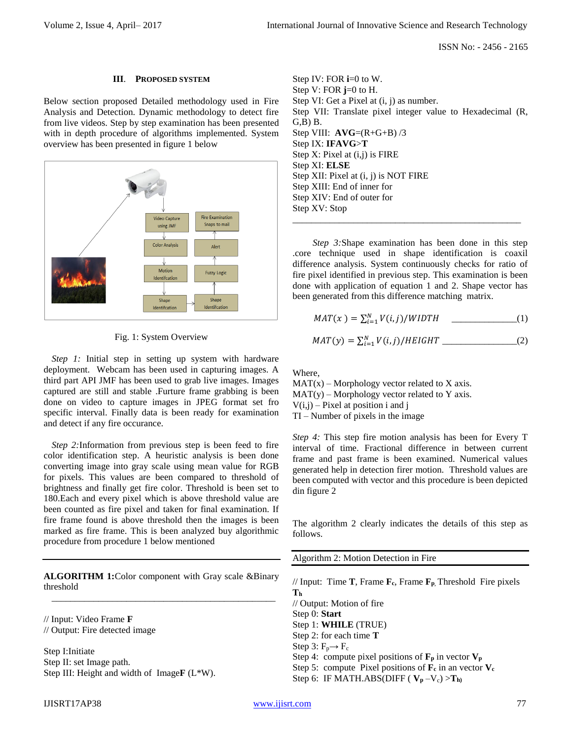ISSN No: - 2456 - 2165

#### **III**. **PROPOSED SYSTEM**

Below section proposed Detailed methodology used in Fire Analysis and Detection. Dynamic methodology to detect fire from live videos. Step by step examination has been presented with in depth procedure of algorithms implemented. System overview has been presented in figure 1 below



Fig. 1: System Overview

*Step 1:* Initial step in setting up system with hardware deployment. Webcam has been used in capturing images. A third part API JMF has been used to grab live images. Images captured are still and stable .Furture frame grabbing is been done on video to capture images in JPEG format set fro specific interval. Finally data is been ready for examination and detect if any fire occurance.

*Step 2:*Information from previous step is been feed to fire color identification step. A heuristic analysis is been done converting image into gray scale using mean value for RGB for pixels. This values are been compared to threshold of brightness and finally get fire color. Threshold is been set to 180.Each and every pixel which is above threshold value are been counted as fire pixel and taken for final examination. If fire frame found is above threshold then the images is been marked as fire frame. This is been analyzed buy algorithmic procedure from procedure 1 below mentioned

**ALGORITHM 1:**Color component with Gray scale &Binary threshold \_\_\_\_\_\_\_\_\_\_\_\_\_\_\_\_\_\_\_\_\_\_\_\_\_\_\_\_\_\_\_\_\_\_\_\_\_\_\_\_\_\_\_\_\_\_\_\_

// Input: Video Frame **F** // Output: Fire detected image

Step I:Initiate Step II: set Image path. Step III: Height and width of Image**F** (L\*W). Step IV: FOR **i**=0 to W. Step V: FOR **j**=0 to H. Step VI: Get a Pixel at (i, j) as number. Step VII: Translate pixel integer value to Hexadecimal (R,  $G$ , $B$ )  $B$ . Step VIII:  $AVG=(R+G+B)/3$ Step IX: **IFAVG**>**T** Step X: Pixel at (i,j) is FIRE Step XI: **ELSE** Step XII: Pixel at (i, j) is NOT FIRE Step XIII: End of inner for Step XIV: End of outer for Step XV: Stop

*Step 3:*Shape examination has been done in this step .core technique used in shape identification is coaxil difference analysis. System continuously checks for ratio of fire pixel identified in previous step. This examination is been done with application of equation 1 and 2. Shape vector has been generated from this difference matching matrix.

\_\_\_\_\_\_\_\_\_\_\_\_\_\_\_\_\_\_\_\_\_\_\_\_\_\_\_\_\_\_\_\_\_\_\_\_\_\_\_\_\_\_\_\_\_\_\_\_\_

$$
MAT(x) = \sum_{i=1}^{N} V(i,j) / WIDTH
$$
 (1)

$$
MAT(y) = \sum_{i=1}^{N} V(i,j) / HEIGHT
$$
 (2)

Where,

 $MAT(x) - Morphology vector related to X axis.$  $MAT(y) - Morphology vector related to Y axis.$  $V(i,j)$  – Pixel at position i and j TI – Number of pixels in the image

*Step 4:* This step fire motion analysis has been for Every T interval of time. Fractional difference in between current frame and past frame is been examined. Numerical values generated help in detection firer motion. Threshold values are been computed with vector and this procedure is been depicted din figure 2

The algorithm 2 clearly indicates the details of this step as follows.

Algorithm 2: Motion Detection in Fire

// Input: Time **T**, Frame **Fc**, Frame **F<sup>p</sup>**, Threshold Fire pixels **T<sup>h</sup>** // Output: Motion of fire Step 0: **Start** Step 1: **WHILE** (TRUE) Step 2: for each time **T** Step 3:  $F_p \rightarrow F_c$ Step 4: compute pixel positions of  $\mathbf{F}_p$  in vector  $\mathbf{V}_p$ Step 5: compute Pixel positions of  $\mathbf{F}_c$  in an vector  $\mathbf{V}_c$ Step 6: IF MATH.ABS(DIFF ( $V_p - V_c$ ) >  $T_h$ )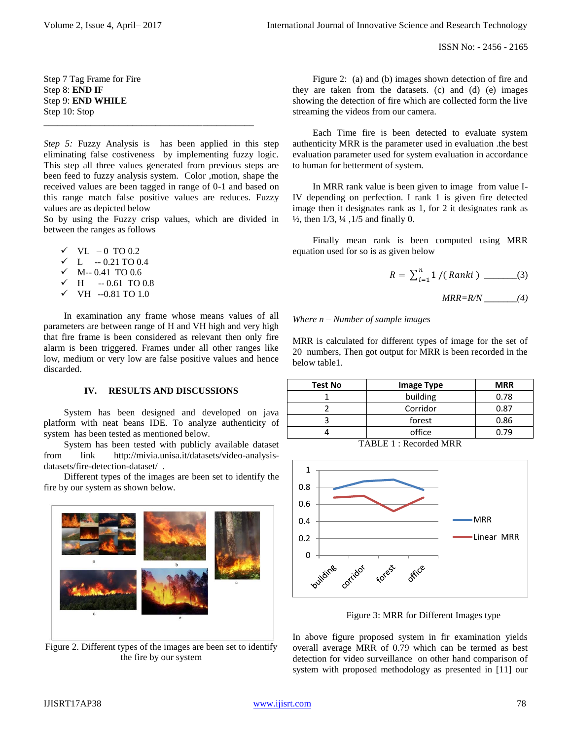ISSN No: - 2456 - 2165

Step 7 Tag Frame for Fire Step 8: **END IF** Step 9: **END WHILE** Step 10: Stop \_\_\_\_\_\_\_\_\_\_\_\_\_\_\_\_\_\_\_\_\_\_\_\_\_\_\_\_\_\_\_\_\_\_\_\_\_\_\_\_\_\_\_\_\_

*Step 5:* Fuzzy Analysis is has been applied in this step eliminating false costiveness by implementing fuzzy logic. This step all three values generated from previous steps are been feed to fuzzy analysis system. Color ,motion, shape the received values are been tagged in range of 0-1 and based on this range match false positive values are reduces. Fuzzy values are as depicted below

So by using the Fuzzy crisp values, which are divided in between the ranges as follows

- ✓ VL 0 TO 0.2
- $\times$  L -- 0.21 TO 0.4
- $\checkmark$  M-- 0.41 TO 0.6
- $\times$  H  $-0.61$  TO 0.8
- $\checkmark$  VH --0.81 TO 1.0

In examination any frame whose means values of all parameters are between range of H and VH high and very high that fire frame is been considered as relevant then only fire alarm is been triggered. Frames under all other ranges like low, medium or very low are false positive values and hence discarded.

# **IV. RESULTS AND DISCUSSIONS**

System has been designed and developed on java platform with neat beans IDE. To analyze authenticity of system has been tested as mentioned below.

System has been tested with publicly available dataset from link http://mivia.unisa.it/datasets/video-analysisdatasets/fire-detection-dataset/ .

Different types of the images are been set to identify the fire by our system as shown below.



Figure 2. Different types of the images are been set to identify the fire by our system

Figure 2: (a) and (b) images shown detection of fire and they are taken from the datasets. (c) and (d) (e) images showing the detection of fire which are collected form the live streaming the videos from our camera.

Each Time fire is been detected to evaluate system authenticity MRR is the parameter used in evaluation .the best evaluation parameter used for system evaluation in accordance to human for betterment of system.

In MRR rank value is been given to image from value I-IV depending on perfection. I rank 1 is given fire detected image then it designates rank as 1, for 2 it designates rank as  $\frac{1}{2}$ , then 1/3,  $\frac{1}{4}$ , 1/5 and finally 0.

Finally mean rank is been computed using MRR equation used for so is as given below

$$
R = \sum_{i=1}^{n} 1 / (Ranki) \quad (3)
$$

 *MRR=R/N \_\_\_\_\_\_\_(4)*

## *Where n – Number of sample images*

MRR is calculated for different types of image for the set of 20 numbers, Then got output for MRR is been recorded in the below table1*.* 

| <b>Test No</b> | <b>Image Type</b> | <b>MRR</b> |
|----------------|-------------------|------------|
|                | building          | 0.78       |
|                | Corridor          | 0.87       |
|                | forest            | 0.86       |
|                | office            | 79 (       |

TABLE 1 : Recorded MRR



Figure 3: MRR for Different Images type

In above figure proposed system in fir examination yields overall average MRR of 0.79 which can be termed as best detection for video surveillance on other hand comparison of system with proposed methodology as presented in [11] our